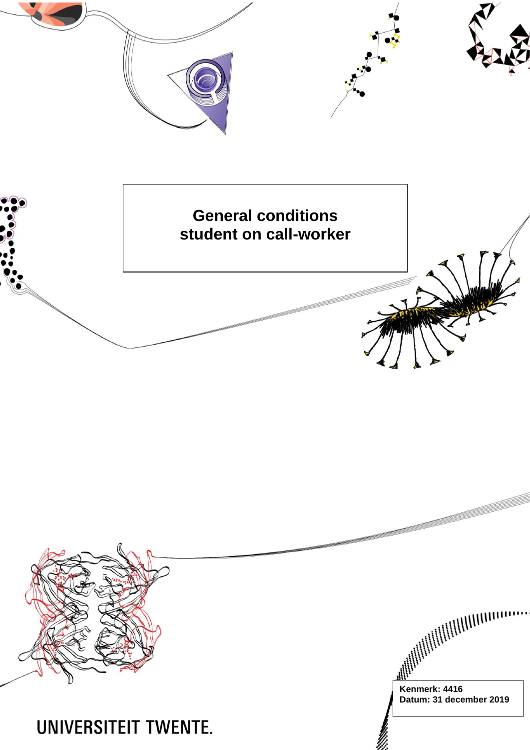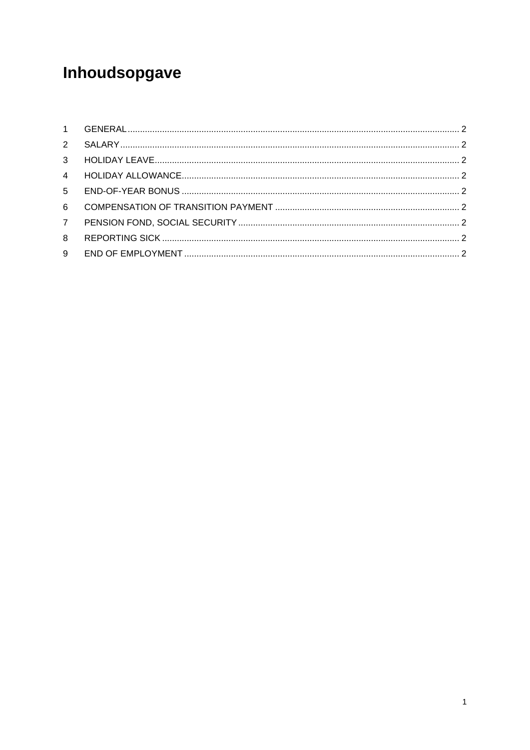# Inhoudsopgave